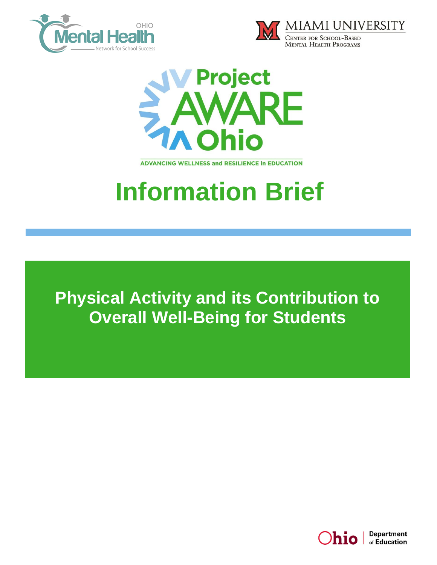





**ADVANCING WELLNESS and RESILIENCE In EDUCATION** 

# **Information Brief**

**Physical Activity and its Contribution to Overall Well-Being for Students**

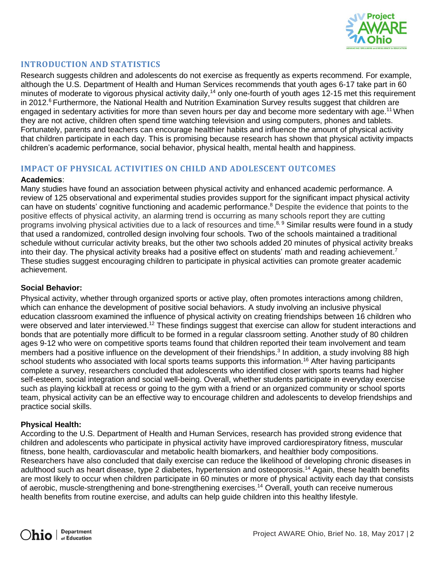

## **INTRODUCTION AND STATISTICS**

Research suggests children and adolescents do not exercise as frequently as experts recommend. For example, although the U.S. Department of Health and Human Services recommends that youth ages 6-17 take part in 60 minutes of moderate to vigorous physical activity daily,<sup>14</sup> only one-fourth of youth ages 12-15 met this requirement in 2012.<sup>6</sup> Furthermore, the National Health and Nutrition Examination Survey results suggest that children are engaged in sedentary activities for more than seven hours per day and become more sedentary with age.<sup>11</sup> When they are not active, children often spend time watching television and using computers, phones and tablets. Fortunately, parents and teachers can encourage healthier habits and influence the amount of physical activity that children participate in each day. This is promising because research has shown that physical activity impacts children's academic performance, social behavior, physical health, mental health and happiness.

### **IMPACT OF PHYSICAL ACTIVITIES ON CHILD AND ADOLESCENT OUTCOMES**

#### **Academics**:

Many studies have found an association between physical activity and enhanced academic performance. A review of 125 observational and experimental studies provides support for the significant impact physical activity can have on students' cognitive functioning and academic performance.<sup>8</sup> Despite the evidence that points to the positive effects of physical activity, an alarming trend is occurring as many schools report they are cutting programs involving physical activities due to a lack of resources and time.<sup>8, 9</sup> Similar results were found in a study that used a randomized, controlled design involving four schools. Two of the schools maintained a traditional schedule without curricular activity breaks, but the other two schools added 20 minutes of physical activity breaks into their day. The physical activity breaks had a positive effect on students' math and reading achievement.<sup>7</sup> These studies suggest encouraging children to participate in physical activities can promote greater academic achievement.

#### **Social Behavior:**

Physical activity, whether through organized sports or active play, often promotes interactions among children, which can enhance the development of positive social behaviors. A study involving an inclusive physical education classroom examined the influence of physical activity on creating friendships between 16 children who were observed and later interviewed.<sup>12</sup> These findings suggest that exercise can allow for student interactions and bonds that are potentially more difficult to be formed in a regular classroom setting. Another study of 80 children ages 9-12 who were on competitive sports teams found that children reported their team involvement and team members had a positive influence on the development of their friendships.<sup>3</sup> In addition, a study involving 88 high school students who associated with local sports teams supports this information.<sup>16</sup> After having participants complete a survey, researchers concluded that adolescents who identified closer with sports teams had higher self-esteem, social integration and social well-being. Overall, whether students participate in everyday exercise such as playing kickball at recess or going to the gym with a friend or an organized community or school sports team, physical activity can be an effective way to encourage children and adolescents to develop friendships and practice social skills.

#### **Physical Health:**

According to the U.S. Department of Health and Human Services, research has provided strong evidence that children and adolescents who participate in physical activity have improved cardiorespiratory fitness, muscular fitness, bone health, cardiovascular and metabolic health biomarkers, and healthier body compositions. Researchers have also concluded that daily exercise can reduce the likelihood of developing chronic diseases in adulthood such as heart disease, type 2 diabetes, hypertension and osteoporosis.<sup>14</sup> Again, these health benefits are most likely to occur when children participate in 60 minutes or more of physical activity each day that consists of aerobic, muscle-strengthening and bone-strengthening exercises.<sup>14</sup> Overall, youth can receive numerous health benefits from routine exercise, and adults can help guide children into this healthy lifestyle.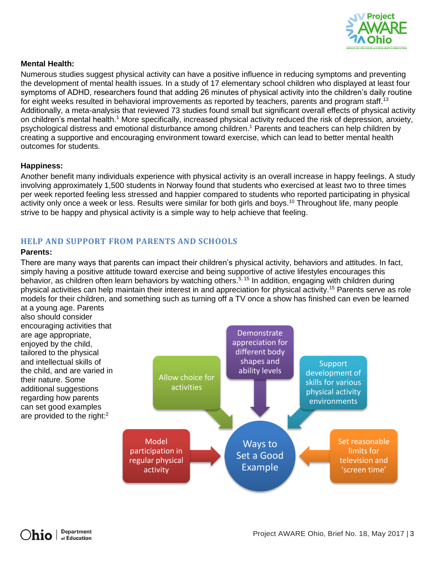

#### **Mental Health:**

Numerous studies suggest physical activity can have a positive influence in reducing symptoms and preventing the development of mental health issues. In a study of 17 elementary school children who displayed at least four symptoms of ADHD, researchers found that adding 26 minutes of physical activity into the children's daily routine for eight weeks resulted in behavioral improvements as reported by teachers, parents and program staff.<sup>13</sup> Additionally, a meta-analysis that reviewed 73 studies found small but significant overall effects of physical activity on children's mental health.<sup>1</sup> More specifically, increased physical activity reduced the risk of depression, anxiety, psychological distress and emotional disturbance among children.<sup>1</sup> Parents and teachers can help children by creating a supportive and encouraging environment toward exercise, which can lead to better mental health outcomes for students.

#### **Happiness:**

Another benefit many individuals experience with physical activity is an overall increase in happy feelings. A study involving approximately 1,500 students in Norway found that students who exercised at least two to three times per week reported feeling less stressed and happier compared to students who reported participating in physical activity only once a week or less. Results were similar for both girls and boys.<sup>10</sup> Throughout life, many people strive to be happy and physical activity is a simple way to help achieve that feeling.

## **HELP AND SUPPORT FROM PARENTS AND SCHOOLS**

#### **Parents:**

There are many ways that parents can impact their children's physical activity, behaviors and attitudes. In fact, simply having a positive attitude toward exercise and being supportive of active lifestyles encourages this behavior, as children often learn behaviors by watching others.<sup>5, 15</sup> In addition, engaging with children during physical activities can help maintain their interest in and appreciation for physical activity.<sup>15</sup> Parents serve as role models for their children, and something such as turning off a TV once a show has finished can even be learned at a young age. Parents

also should consider encouraging activities that are age appropriate, enjoyed by the child, tailored to the physical and intellectual skills of the child, and are varied in their nature. Some additional suggestions regarding how parents can set good examples are provided to the right:<sup>2</sup>

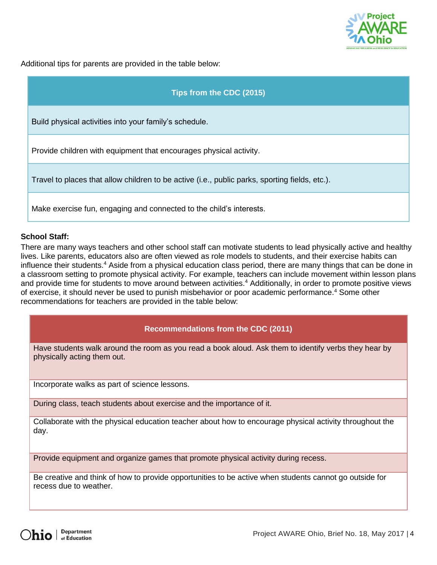

Additional tips for parents are provided in the table below:

## **Tips from the CDC (2015)** Build physical activities into your family's schedule. Provide children with equipment that encourages physical activity. Travel to places that allow children to be active (i.e., public parks, sporting fields, etc.). Make exercise fun, engaging and connected to the child's interests.

#### **School Staff:**

There are many ways teachers and other school staff can motivate students to lead physically active and healthy lives. Like parents, educators also are often viewed as role models to students, and their exercise habits can influence their students.<sup>4</sup> Aside from a physical education class period, there are many things that can be done in a classroom setting to promote physical activity. For example, teachers can include movement within lesson plans and provide time for students to move around between activities.<sup>4</sup> Additionally, in order to promote positive views of exercise, it should never be used to punish misbehavior or poor academic performance.<sup>4</sup> Some other recommendations for teachers are provided in the table below:

## **Recommendations from the CDC (2011)**

Have students walk around the room as you read a book aloud. Ask them to identify verbs they hear by physically acting them out.

Incorporate walks as part of science lessons.

During class, teach students about exercise and the importance of it.

Collaborate with the physical education teacher about how to encourage physical activity throughout the day.

Provide equipment and organize games that promote physical activity during recess.

Be creative and think of how to provide opportunities to be active when students cannot go outside for recess due to weather.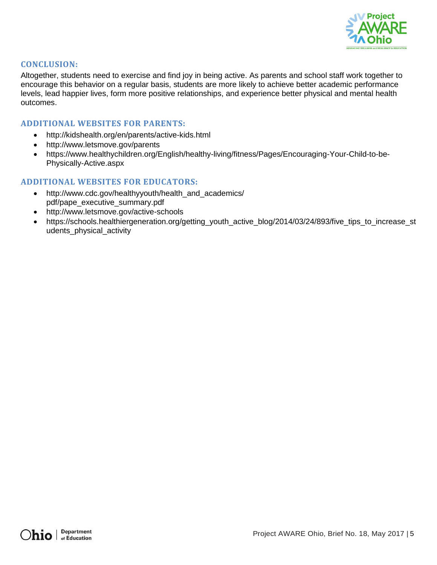

## **CONCLUSION:**

Altogether, students need to exercise and find joy in being active. As parents and school staff work together to encourage this behavior on a regular basis, students are more likely to achieve better academic performance levels, lead happier lives, form more positive relationships, and experience better physical and mental health outcomes.

## **ADDITIONAL WEBSITES FOR PARENTS:**

- <http://kidshealth.org/en/parents/active-kids.html>
- http://www.letsmove.gov/parents
- https://www.healthychildren.org/English/healthy-living/fitness/Pages/Encouraging-Your-Child-to-be-Physically-Active.aspx

## **ADDITIONAL WEBSITES FOR EDUCATORS:**

- http://www.cdc.gov/healthyyouth/health\_and\_academics/ pdf/pape\_executive\_summary.pdf
- <http://www.letsmove.gov/active-schools>
- [https://schools.healthiergeneration.org/getting\\_youth\\_active\\_blog/2014/03/24/893/five\\_tips\\_to\\_increase\\_st](https://schools.healthiergeneration.org/getting_youth_active_blog/2014/03/24/893/five_tips_to_increase_students_physical_activity) [udents\\_physical\\_activity](https://schools.healthiergeneration.org/getting_youth_active_blog/2014/03/24/893/five_tips_to_increase_students_physical_activity)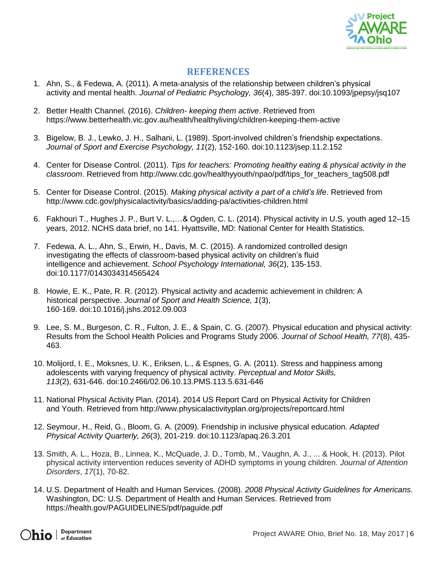

## **REFERENCES**

- 1. Ahn, S., & Fedewa, A. (2011). A meta-analysis of the relationship between children's physical activity and mental health. *Journal of Pediatric Psychology, 36*(4), 385-397. doi:10.1093/jpepsy/jsq107
- 2. Better Health Channel. (2016). *Children- keeping them active*. Retrieved from https://www.betterhealth.vic.gov.au/health/healthyliving/children-keeping-them-active
- 3. Bigelow, B. J., Lewko, J. H., Salhani, L. (1989). Sport-involved children's friendship expectations. *Journal of Sport and Exercise Psychology, 11*(2), 152-160. doi:10.1123/jsep.11.2.152
- 4. Center for Disease Control. (2011). *Tips for teachers: Promoting healthy eating & physical activity in the classroom*. Retrieved from [http://www.cdc.gov/healthyyouth/npao/pdf/tips\\_for\\_teachers\\_tag508.pdf](http://www.cdc.gov/healthyyouth/npao/pdf/tips_for_teachers_tag508.pdf)
- 5. Center for Disease Control. (2015). *Making physical activity a part of a child's life*. Retrieved from http://www.cdc.gov/physicalactivity/basics/adding-pa/activities-children.html
- 6. Fakhouri T., Hughes J. P., Burt V. L.,…& Ogden, C. L. (2014). Physical activity in U.S. youth aged 12–15 years, 2012. NCHS data brief, no 141. Hyattsville, MD: National Center for Health Statistics.
- 7. Fedewa, A. L., Ahn, S., Erwin, H., Davis, M. C. (2015). A randomized controlled design investigating the effects of classroom-based physical activity on children's fluid intelligence and achievement. *School Psychology International, 36*(2), 135-153. doi:10.1177/0143034314565424
- 8. Howie, E. K., Pate, R. R. (2012). Physical activity and academic achievement in children: A historical perspective. *Journal of Sport and Health Science, 1*(3), 160-169. doi:10.1016/j.jshs.2012.09.003
- 9. Lee, S. M., Burgeson, C. R., Fulton, J. E., & Spain, C. G. (2007). Physical education and physical activity: Results from the School Health Policies and Programs Study 2006. *Journal of School Health, 77*(8), 435- 463.
- 10. Molijord, I. E., Moksnes, U. K., Eriksen, L., & Espnes, G. A. (2011). Stress and happiness among adolescents with varying frequency of physical activity. *Perceptual and Motor Skills, 113*(2), 631-646. doi:10.2466/02.06.10.13.PMS.113.5.631-646
- 11. National Physical Activity Plan. (2014). 2014 US Report Card on Physical Activity for Children and Youth. Retrieved from http://www.physicalactivityplan.org/projects/reportcard.html
- 12. Seymour, H., Reid, G., Bloom, G. A. (2009). Friendship in inclusive physical education. *Adapted Physical Activity Quarterly, 26*(3), 201-219. doi:10.1123/apaq.26.3.201
- 13. Smith, A. L., Hoza, B., Linnea, K., McQuade, J. D., Tomb, M., Vaughn, A. J., ... & Hook, H. (2013). Pilot physical activity intervention reduces severity of ADHD symptoms in young children. *Journal of Attention Disorders*, *17*(1), 70-82.
- 14. U.S. Department of Health and Human Services. (2008). *2008 Physical Activity Guidelines for Americans*. Washington, DC: U.S. Department of Health and Human Services. Retrieved from https://health.gov/PAGUIDELINES/pdf/paguide.pdf